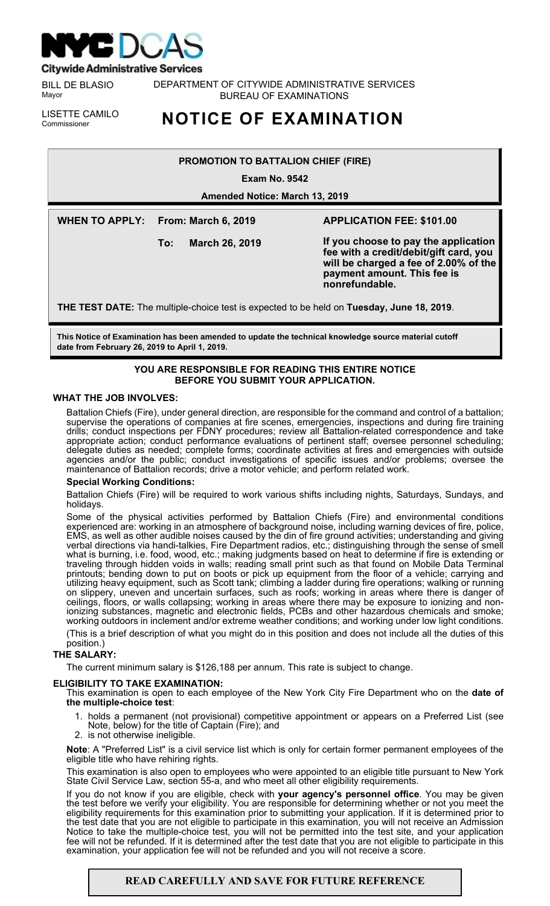

**Citywide Administrative Services** 

BILL DE BLASIO Mayor

DEPARTMENT OF CITYWIDE ADMINISTRATIVE SERVICES BUREAU OF EXAMINATIONS

LISETTE CAMILO<br>Commissioner

# **NOTICE OF EXAMINATION**

# **PROMOTION TO BATTALION CHIEF (FIRE)**

**Exam No. 9542**

**Amended Notice: March 13, 2019**

**WHEN TO APPLY: From: March 6, 2019**

**To: March 26, 2019**

# **APPLICATION FEE: \$101.00**

**If you choose to pay the application fee with a credit/debit/gift card, you will be charged a fee of 2.00% of the payment amount. This fee is nonrefundable.**

**THE TEST DATE:** The multiple-choice test is expected to be held on **Tuesday, June 18, 2019**.

**This Notice of Examination has been amended to update the technical knowledge source material cutoff date from February 26, 2019 to April 1, 2019.** 

# **YOU ARE RESPONSIBLE FOR READING THIS ENTIRE NOTICE BEFORE YOU SUBMIT YOUR APPLICATION.**

# **WHAT THE JOB INVOLVES:**

Battalion Chiefs (Fire), under general direction, are responsible for the command and control of a battalion; supervise the operations of companies at fire scenes, emergencies, inspections and during fire training drills; conduct inspections per FDNY procedures; review all Battalion-related correspondence and take appropriate action; conduct performance evaluations of pertinent staff; oversee personnel scheduling; delegate duties as needed; complete forms; coordinate activities at fires and emergencies with outside agencies and/or the public; conduct investigations of specific issues and/or problems; oversee the maintenance of Battalion records; drive a motor vehicle; and perform related work.

# **Special Working Conditions:**

Battalion Chiefs (Fire) will be required to work various shifts including nights, Saturdays, Sundays, and holidays.

Some of the physical activities performed by Battalion Chiefs (Fire) and environmental conditions experienced are: working in an atmosphere of background noise, including warning devices of fire, police, EMS, as well as other audible noises caused by the din of fire ground activities; understanding and giving verbal directions via handi-talkies, Fire Department radios, etc.; distinguishing through the sense of smell what is burning, i.e. food, wood, etc.; making judgments based on heat to determine if fire is extending or traveling through hidden voids in walls; reading small print such as that found on Mobile Data Terminal printouts; bending down to put on boots or pick up equipment from the floor of a vehicle; carrying and utilizing heavy equipment, such as Scott tank; climbing a ladder during fire operations; walking or running on slippery, uneven and uncertain surfaces, such as roofs; working in areas where there is danger of ceilings, floors, or walls collapsing; working in areas where there may be exposure to ionizing and nonionizing substances, magnetic and electronic fields, PCBs and other hazardous chemicals and smoke; working outdoors in inclement and/or extreme weather conditions; and working under low light conditions.

(This is a brief description of what you might do in this position and does not include all the duties of this position.)

# **THE SALARY:**

The current minimum salary is \$126,188 per annum. This rate is subject to change.

# **ELIGIBILITY TO TAKE EXAMINATION:**

This examination is open to each employee of the New York City Fire Department who on the **date of the multiple-choice test**:

- 1. holds a permanent (not provisional) competitive appointment or appears on a Preferred List (see Note, below) for the title of Captain (Fire); and
- 2. is not otherwise ineligible.

**Note**: A "Preferred List" is a civil service list which is only for certain former permanent employees of the eligible title who have rehiring rights.

This examination is also open to employees who were appointed to an eligible title pursuant to New York State Civil Service Law, section 55-a, and who meet all other eligibility requirements.

If you do not know if you are eligible, check with **your agency's personnel office**. You may be given the test before we verify your eligibility. You are responsible for determining whether or not you meet the eligibility requirements for this examination prior to submitting your application. If it is determined prior to the test date that you are not eligible to participate in this examination, you will not receive an Admission Notice to take the multiple-choice test, you will not be permitted into the test site, and your application fee will not be refunded. If it is determined after the test date that you are not eligible to participate in this examination, your application fee will not be refunded and you will not receive a score.

# **READ CAREFULLY AND SAVE FOR FUTURE REFERENCE**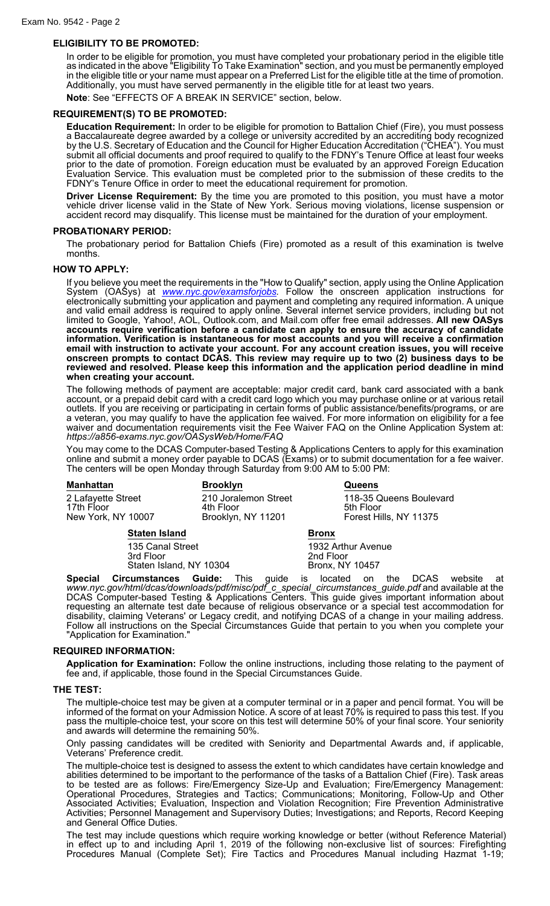# **ELIGIBILITY TO BE PROMOTED:**

In order to be eligible for promotion, you must have completed your probationary period in the eligible title as indicated in the above "Eligibility To Take Examination" section, and you must be permanently employed in the eligible title or your name must appear on a Preferred List for the eligible title at the time of promotion. Additionally, you must have served permanently in the eligible title for at least two years.

**Note**: See "EFFECTS OF A BREAK IN SERVICE" section, below.

## **REQUIREMENT(S) TO BE PROMOTED:**

**Education Requirement:** In order to be eligible for promotion to Battalion Chief (Fire), you must possess a Baccalaureate degree awarded by a college or university accredited by an accrediting body recognized by the U.S. Secretary of Education and the Council for Higher Education Accreditation ("CHEA"). You must submit all official documents and proof required to qualify to the FDNY's Tenure Office at least four weeks prior to the date of promotion. Foreign education must be evaluated by an approved Foreign Education Evaluation Service. This evaluation must be completed prior to the submission of these credits to the FDNY's Tenure Office in order to meet the educational requirement for promotion.

**Driver License Requirement:** By the time you are promoted to this position, you must have a motor vehicle driver license valid in the State of New York. Serious moving violations, license suspension or accident record may disqualify. This license must be maintained for the duration of your employment.

# **PROBATIONARY PERIOD:**

The probationary period for Battalion Chiefs (Fire) promoted as a result of this examination is twelve months.

#### **HOW TO APPLY:**

If you believe you meet the requirements in the "How to Qualify" section, apply using the Online Application System (OASys) at *[www.nyc.gov/examsforjobs.](http://www.nyc.gov/examsforjobs)* Follow the onscreen application instructions for electronically submitting your application and payment and completing any required information. A unique and valid email address is required to apply online. Several internet service providers, including but not limited to Google, Yahoo!, AOL, Outlook.com, and Mail.com offer free email addresses. **All new OASys accounts require verification before a candidate can apply to ensure the accuracy of candidate information. Verification is instantaneous for most accounts and you will receive a confirmation email with instruction to activate your account. For any account creation issues, you will receive onscreen prompts to contact DCAS. This review may require up to two (2) business days to be reviewed and resolved. Please keep this information and the application period deadline in mind when creating your account.**

The following methods of payment are acceptable: major credit card, bank card associated with a bank account, or a prepaid debit card with a credit card logo which you may purchase online or at various retail outlets. If you are receiving or participating in certain forms of public assistance/benefits/programs, or are a veteran, you may qualify to have the application fee waived. For more information on eligibility for a fee waiver and documentation requirements visit the Fee Waiver FAQ on the Online Application System at: *https://a856-exams.nyc.gov/OASysWeb/Home/FAQ*

You may come to the DCAS Computer-based Testing & Applications Centers to apply for this examination online and submit a money order payable to DCAS (Exams) or to submit documentation for a fee waiver. The centers will be open Monday through Saturday from 9:00 AM to 5:00 PM:

| <b>Manhattan</b>                                       | <b>Brooklyn</b>                                         |              | <b>Queens</b>                                                  |
|--------------------------------------------------------|---------------------------------------------------------|--------------|----------------------------------------------------------------|
| 2 Lafayette Street<br>17th Floor<br>New York, NY 10007 | 210 Joralemon Street<br>4th Floor<br>Brooklyn, NY 11201 |              | 118-35 Queens Boulevard<br>5th Floor<br>Forest Hills, NY 11375 |
| <b>Staten Island</b>                                   |                                                         | <b>Bronx</b> |                                                                |

| 1932 Arthur Avenue     |
|------------------------|
| 2nd Floor              |
| <b>Bronx, NY 10457</b> |
|                        |

**Special Circumstances Guide:** This guide is located on the DCAS website at *www.nyc.gov/html/dcas/downloads/pdf/misc/pdf\_c\_special\_circumstances\_guide.pdf* and available at the DCAS Computer-based Testing & Applications Centers. This guide gives important information about requesting an alternate test date because of religious observance or a special test accommodation for disability, claiming Veterans' or Legacy credit, and notifying DCAS of a change in your mailing address. Follow all instructions on the Special Circumstances Guide that pertain to you when you complete your "Application for Examination."

## **REQUIRED INFORMATION:**

**Application for Examination:** Follow the online instructions, including those relating to the payment of fee and, if applicable, those found in the Special Circumstances Guide.

#### **THE TEST:**

The multiple-choice test may be given at a computer terminal or in a paper and pencil format. You will be informed of the format on your Admission Notice. A score of at least 70% is required to pass this test. If you pass the multiple-choice test, your score on this test will determine 50% of your final score. Your seniority and awards will determine the remaining 50%.

Only passing candidates will be credited with Seniority and Departmental Awards and, if applicable, Veterans' Preference credit.

The multiple-choice test is designed to assess the extent to which candidates have certain knowledge and abilities determined to be important to the performance of the tasks of a Battalion Chief (Fire). Task areas to be tested are as follows: Fire/Emergency Size-Up and Evaluation; Fire/Emergency Management: Operational Procedures, Strategies and Tactics; Communications; Monitoring, Follow-Up and Other Associated Activities; Evaluation, Inspection and Violation Recognition; Fire Prevention Administrative Activities; Personnel Management and Supervisory Duties; Investigations; and Reports, Record Keeping and General Office Duties.

The test may include questions which require working knowledge or better (without Reference Material) in effect up to and including April 1, 2019 of the following non-exclusive list of sources: Firefighting Procedures Manual (Complete Set); Fire Tactics and Procedures Manual including Hazmat 1-19;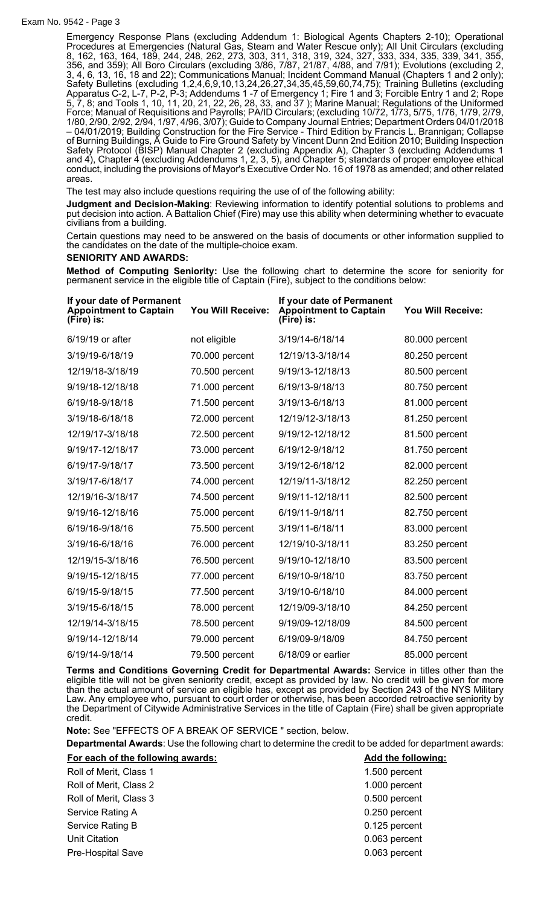## Exam No. 9542 - Page 3

Emergency Response Plans (excluding Addendum 1: Biological Agents Chapters 2-10); Operational Procedures at Emergencies (Natural Gas, Steam and Water Rescue only); All Unit Circulars (excluding 8, 162, 163, 164, 189, 244, 248, 262, 273, 303, 311, 318, 319, 324, 327, 333, 334, 335, 339, 341, 355, 356, and 359); All Boro Circulars (excluding 3/86, 7/87, 21/87, 4/88, and 7/91); Evolutions (excluding 2, 3, 4, 6, 13, 16, 18 and 22); Communications Manual; Incident Command Manual (Chapters 1 and 2 only); Safety Bulletins (excluding 1,2,4,6,9,10,13,24,26,27,34,35,45,59,60,74,75); Training Bulletins (excluding Apparatus C-2, L-7, P-2, P-3; Addendums 1 -7 of Emergency 1; Fire 1 and 3; Forcible Entry 1 and 2; Rope 5, 7, 8; and Tools 1, 10, 11, 20, 21, 22, 26, 28, 33, and 37 ); Marine Manual; Regulations of the Uniformed Force; Manual of Requisitions and Payrolls; PA/ID Circulars; (excluding 10/72, 1/73, 5/75, 1/76, 1/79, 2/79, 1/80, 2/90, 2/92, 2/94, 1/97, 4/96, 3/07); Guide to Company Journal Entries; Department Orders 04/01/2018 – 04/01/2019; Building Construction for the Fire Service - Third Edition by Francis L. Brannigan; Collapse of Burning Buildings, A Guide to Fire Ground Safety by Vincent Dunn 2nd Edition 2010; Building Inspection Safety Protocol (BISP) Manual Chapter 2 (excluding Appendix A), Chapter 3 (excluding Addendums 1 and 4), Chapter 4 (excluding Addendums 1, 2, 3, 5), and Chapter 5; standards of proper employee ethical conduct, including the provisions of Mayor's Executive Order No. 16 of 1978 as amended; and other related areas.

The test may also include questions requiring the use of of the following ability:

**Judgment and Decision-Making**: Reviewing information to identify potential solutions to problems and put decision into action. A Battalion Chief (Fire) may use this ability when determining whether to evacuate civilians from a building.

Certain questions may need to be answered on the basis of documents or other information supplied to the candidates on the date of the multiple-choice exam.

## **SENIORITY AND AWARDS:**

**Method of Computing Seniority:** Use the following chart to determine the score for seniority for permanent service in the eligible title of Captain (Fire), subject to the conditions below:

| If your date of Permanent<br><b>Appointment to Captain</b><br>(Fire) is: | You Will Receive: | If your date of Permanent<br><b>Appointment to Captain</b><br>(Fire) is: | <b>You Will Receive:</b> |
|--------------------------------------------------------------------------|-------------------|--------------------------------------------------------------------------|--------------------------|
| 6/19/19 or after                                                         | not eligible      | 3/19/14-6/18/14                                                          | 80.000 percent           |
| 3/19/19-6/18/19                                                          | 70.000 percent    | 12/19/13-3/18/14                                                         | 80.250 percent           |
| 12/19/18-3/18/19                                                         | 70.500 percent    | 9/19/13-12/18/13                                                         | 80.500 percent           |
| 9/19/18-12/18/18                                                         | 71.000 percent    | 6/19/13-9/18/13                                                          | 80.750 percent           |
| 6/19/18-9/18/18                                                          | 71.500 percent    | 3/19/13-6/18/13                                                          | 81.000 percent           |
| 3/19/18-6/18/18                                                          | 72.000 percent    | 12/19/12-3/18/13                                                         | 81.250 percent           |
| 12/19/17-3/18/18                                                         | 72.500 percent    | 9/19/12-12/18/12                                                         | 81.500 percent           |
| 9/19/17-12/18/17                                                         | 73.000 percent    | 6/19/12-9/18/12                                                          | 81.750 percent           |
| 6/19/17-9/18/17                                                          | 73.500 percent    | 3/19/12-6/18/12                                                          | 82.000 percent           |
| 3/19/17-6/18/17                                                          | 74.000 percent    | 12/19/11-3/18/12                                                         | 82.250 percent           |
| 12/19/16-3/18/17                                                         | 74.500 percent    | 9/19/11-12/18/11                                                         | 82.500 percent           |
| 9/19/16-12/18/16                                                         | 75.000 percent    | 6/19/11-9/18/11                                                          | 82.750 percent           |
| 6/19/16-9/18/16                                                          | 75.500 percent    | 3/19/11-6/18/11                                                          | 83.000 percent           |
| 3/19/16-6/18/16                                                          | 76.000 percent    | 12/19/10-3/18/11                                                         | 83.250 percent           |
| 12/19/15-3/18/16                                                         | 76.500 percent    | 9/19/10-12/18/10                                                         | 83.500 percent           |
| 9/19/15-12/18/15                                                         | 77.000 percent    | 6/19/10-9/18/10                                                          | 83.750 percent           |
| 6/19/15-9/18/15                                                          | 77.500 percent    | 3/19/10-6/18/10                                                          | 84.000 percent           |
| 3/19/15-6/18/15                                                          | 78.000 percent    | 12/19/09-3/18/10                                                         | 84.250 percent           |
| 12/19/14-3/18/15                                                         | 78.500 percent    | 9/19/09-12/18/09                                                         | 84.500 percent           |
| 9/19/14-12/18/14                                                         | 79.000 percent    | 6/19/09-9/18/09                                                          | 84.750 percent           |
| 6/19/14-9/18/14                                                          | 79.500 percent    | 6/18/09 or earlier                                                       | 85.000 percent           |

**Terms and Conditions Governing Credit for Departmental Awards:** Service in titles other than the eligible title will not be given seniority credit, except as provided by law. No credit will be given for more than the actual amount of service an eligible has, except as provided by Section 243 of the NYS Military Law. Any employee who, pursuant to court order or otherwise, has been accorded retroactive seniority by the Department of Citywide Administrative Services in the title of Captain (Fire) shall be given appropriate credit.

**Note:** See "EFFECTS OF A BREAK OF SERVICE " section, below.

**Departmental Awards**: Use the following chart to determine the credit to be added for department awards:

| For each of the following awards: | Add the following: |  |
|-----------------------------------|--------------------|--|
| Roll of Merit, Class 1            | 1.500 percent      |  |
| Roll of Merit, Class 2            | 1.000 percent      |  |
| Roll of Merit, Class 3            | 0.500 percent      |  |
| Service Rating A                  | 0.250 percent      |  |
| Service Rating B                  | 0.125 percent      |  |
| <b>Unit Citation</b>              | 0.063 percent      |  |
| Pre-Hospital Save                 | 0.063 percent      |  |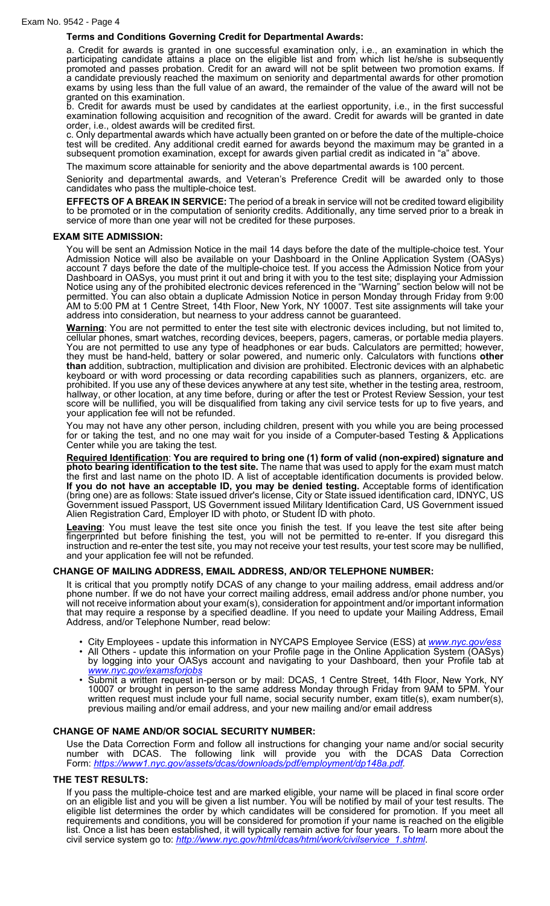# **Terms and Conditions Governing Credit for Departmental Awards:**

a. Credit for awards is granted in one successful examination only, i.e., an examination in which the participating candidate attains a place on the eligible list and from which list he/she is subsequently promoted and passes probation. Credit for an award will not be split between two promotion exams. If a candidate previously reached the maximum on seniority and departmental awards for other promotion exams by using less than the full value of an award, the remainder of the value of the award will not be granted on this examination.

b. Credit for awards must be used by candidates at the earliest opportunity, i.e., in the first successful examination following acquisition and recognition of the award. Credit for awards will be granted in date order, i.e., oldest awards will be credited first.

c. Only departmental awards which have actually been granted on or before the date of the multiple-choice test will be credited. Any additional credit earned for awards beyond the maximum may be granted in a subsequent promotion examination, except for awards given partial credit as indicated in "a" above.

The maximum score attainable for seniority and the above departmental awards is 100 percent.

Seniority and departmental awards, and Veteran's Preference Credit will be awarded only to those candidates who pass the multiple-choice test.

**EFFECTS OF A BREAK IN SERVICE:** The period of a break in service will not be credited toward eligibility to be promoted or in the computation of seniority credits. Additionally, any time served prior to a break in service of more than one year will not be credited for these purposes.

#### **EXAM SITE ADMISSION:**

You will be sent an Admission Notice in the mail 14 days before the date of the multiple-choice test. Your Admission Notice will also be available on your Dashboard in the Online Application System (OASys) account 7 days before the date of the multiple-choice test. If you access the Admission Notice from your Dashboard in OASys, you must print it out and bring it with you to the test site; displaying your Admission Notice using any of the prohibited electronic devices referenced in the "Warning" section below will not be permitted. You can also obtain a duplicate Admission Notice in person Monday through Friday from 9:00 AM to 5:00 PM at 1 Centre Street, 14th Floor, New York, NY 10007. Test site assignments will take your address into consideration, but nearness to your address cannot be guaranteed.

**Warning**: You are not permitted to enter the test site with electronic devices including, but not limited to, cellular phones, smart watches, recording devices, beepers, pagers, cameras, or portable media players. You are not permitted to use any type of headphones or ear buds. Calculators are permitted; however, they must be hand-held, battery or solar powered, and numeric only. Calculators with functions **other than** addition, subtraction, multiplication and division are prohibited. Electronic devices with an alphabetic keyboard or with word processing or data recording capabilities such as planners, organizers, etc. are prohibited. If you use any of these devices anywhere at any test site, whether in the testing area, restroom, hallway, or other location, at any time before, during or after the test or Protest Review Session, your test score will be nullified, you will be disqualified from taking any civil service tests for up to five years, and your application fee will not be refunded.

You may not have any other person, including children, present with you while you are being processed for or taking the test, and no one may wait for you inside of a Computer-based Testing & Applications Center while you are taking the test.

**Required Identification**: **You are required to bring one (1) form of valid (non-expired) signature and photo bearing identification to the test site.** The name that was used to apply for the exam must match the first and last name on the photo ID. A list of acceptable identification documents is provided below. **If you do not have an acceptable ID, you may be denied testing.** Acceptable forms of identification (bring one) are as follows: State issued driver's license, City or State issued identification card, IDNYC, US Government issued Passport, US Government issued Military Identification Card, US Government issued Alien Registration Card, Employer ID with photo, or Student ID with photo.

**Leaving**: You must leave the test site once you finish the test. If you leave the test site after being fingerprinted but before finishing the test, you will not be permitted to re-enter. If you disregard this instruction and re-enter the test site, you may not receive your test results, your test score may be nullified, and your application fee will not be refunded.

## **CHANGE OF MAILING ADDRESS, EMAIL ADDRESS, AND/OR TELEPHONE NUMBER:**

It is critical that you promptly notify DCAS of any change to your mailing address, email address and/or phone number. If we do not have your correct mailing address, email address and/or phone number, you will not receive information about your exam(s), consideration for appointment and/or important information that may require a response by a specified deadline. If you need to update your Mailing Address, Email Address, and/or Telephone Number, read below:

- City Employees update this information in NYCAPS Employee Service (ESS) at *[www.nyc.gov/ess](http://www.nyc.gov/ess)*
- All Others update this information on your Profile page in the Online Application System (OASys) by logging into your OASys account and navigating to your Dashboard, then your Profile tab at *[www.nyc.gov/examsforjobs](http://www.nyc.gov/examsforjobs)*
- Submit a written request in-person or by mail: DCAS, 1 Centre Street, 14th Floor, New York, NY 10007 or brought in person to the same address Monday through Friday from 9AM to 5PM. Your written request must include your full name, social security number, exam title(s), exam number(s), previous mailing and/or email address, and your new mailing and/or email address

# **CHANGE OF NAME AND/OR SOCIAL SECURITY NUMBER:**

Use the Data Correction Form and follow all instructions for changing your name and/or social security number with DCAS. The following link will provide you with the DCAS Data Correction Form: *<https://www1.nyc.gov/assets/dcas/downloads/pdf/employment/dp148a.pdf>.*

## **THE TEST RESULTS:**

If you pass the multiple-choice test and are marked eligible, your name will be placed in final score order on an eligible list and you will be given a list number. You will be notified by mail of your test results. The eligible list determines the order by which candidates will be considered for promotion. If you meet all requirements and conditions, you will be considered for promotion if your name is reached on the eligible list. Once a list has been established, it will typically remain active for four years. To learn more about the civil service system go to: *[http://www.nyc.gov/html/dcas/html/work/civilservice\\_1.shtml](http://www.nyc.gov/html/dcas/html/work/civilservice_1.shtml)*.